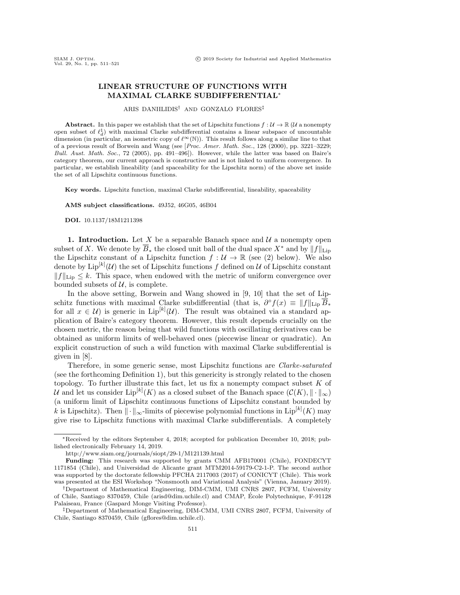## LINEAR STRUCTURE OF FUNCTIONS WITH MAXIMAL CLARKE SUBDIFFERENTIAL<sup>∗</sup>

ARIS DANIILIDIS† AND GONZALO FLORES‡

**Abstract.** In this paper we establish that the set of Lipschitz functions  $f : \mathcal{U} \to \mathbb{R}$  ( $\mathcal{U}$  a nonempty open subset of  $\ell_d^1$  with maximal Clarke subdifferential contains a linear subspace of uncountable dimension (in particular, an isometric copy of  $\ell^{\infty}(\mathbb{N})$ ). This result follows along a similar line to that of a previous result of Borwein and Wang (see [Proc. Amer. Math. Soc., 128 (2000), pp. 3221–3229; Bull. Aust. Math. Soc., 72 (2005), pp. 491–496]). However, while the latter was based on Baire's category theorem, our current approach is constructive and is not linked to uniform convergence. In particular, we establish lineability (and spaceability for the Lipschitz norm) of the above set inside the set of all Lipschitz continuous functions.

Key words. Lipschitz function, maximal Clarke subdifferential, lineability, spaceability

AMS subject classifications. 49J52, 46G05, 46B04

DOI. 10.1137/18M1211398

1. Introduction. Let X be a separable Banach space and  $\mathcal U$  a nonempty open subset of X. We denote by  $\overline{B}_*$  the closed unit ball of the dual space  $X^*$  and by  $||f||_{\text{Lin}}$ the Lipschitz constant of a Lipschitz function  $f: \mathcal{U} \to \mathbb{R}$  (see [\(2\)](#page-1-0) below). We also denote by  $\text{Lip}^{[k]}(\mathcal{U})$  the set of Lipschitz functions f defined on  $\mathcal U$  of Lipschitz constant  $||f||_{\text{Lip}} \leq k$ . This space, when endowed with the metric of uniform convergence over bounded subsets of  $U$ , is complete.

In the above setting, Borwein and Wang showed in [\[9,](#page-10-0) [10\]](#page-10-1) that the set of Lipschitz functions with maximal Clarke subdifferential (that is,  $\partial^{\circ} f(x) \equiv ||f||_{\text{Lip}} \overline{B}_*$ for all  $x \in \mathcal{U}$  is generic in  $\text{Lip}^{[k]}(\mathcal{U})$ . The result was obtained via a standard application of Baire's category theorem. However, this result depends crucially on the chosen metric, the reason being that wild functions with oscillating derivatives can be obtained as uniform limits of well-behaved ones (piecewise linear or quadratic). An explicit construction of such a wild function with maximal Clarke subdifferential is given in [\[8\]](#page-10-2).

Therefore, in some generic sense, most Lipschitz functions are Clarke-saturated (see the forthcoming Definition [1\)](#page-2-0), but this genericity is strongly related to the chosen topology. To further illustrate this fact, let us fix a nonempty compact subset  $K$  of U and let us consider  $\mathrm{Lip}^{[k]}(K)$  as a closed subset of the Banach space  $(\mathcal{C}(K), \|\cdot\|_{\infty})$ (a uniform limit of Lipschitz continuous functions of Lipschitz constant bounded by k is Lipschitz). Then  $\|\cdot\|_{\infty}$ -limits of piecewise polynomial functions in Lip $^{[k]}(K)$  may give rise to Lipschitz functions with maximal Clarke subdifferentials. A completely

<sup>∗</sup>Received by the editors September 4, 2018; accepted for publication December 10, 2018; published electronically February 14, 2019.

<http://www.siam.org/journals/siopt/29-1/M121139.html>

Funding: This research was supported by grants CMM AFB170001 (Chile), FONDECYT 1171854 (Chile), and Universidad de Alicante grant MTM2014-59179-C2-1-P. The second author was supported by the doctorate fellowship PFCHA 2117003 (2017) of CONICYT (Chile). This work was presented at the ESI Workshop "Nonsmooth and Variational Analysis" (Vienna, January 2019).

<sup>†</sup>Department of Mathematical Engineering, DIM-CMM, UMI CNRS 2807, FCFM, University of Chile, Santiago 8370459, Chile [\(arisd@dim.uchile.cl\)](mailto:arisd@dim.uchile.cl) and CMAP, Ecole Polytechnique, F-91128 ´ Palaiseau, France (Gaspard Monge Visiting Professor).

<sup>‡</sup>Department of Mathematical Engineering, DIM-CMM, UMI CNRS 2807, FCFM, University of Chile, Santiago 8370459, Chile [\(gflores@dim.uchile.cl\)](mailto:gflores@dim.uchile.cl).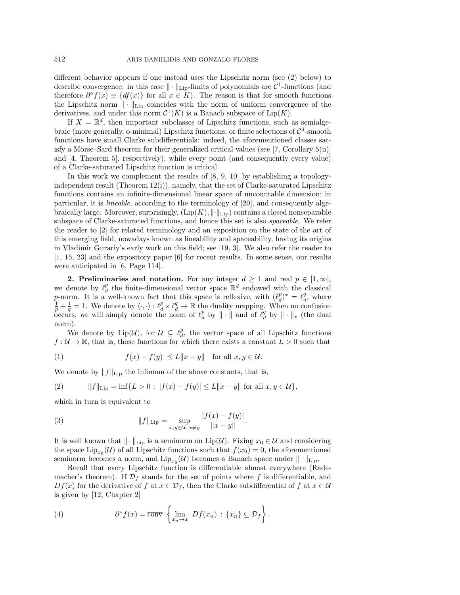different behavior appears if one instead uses the Lipschitz norm (see [\(2\)](#page-1-0) below) to describe convergence: in this case  $\|\cdot\|_{\text{Lip}}$ -limits of polynomials are  $\mathcal{C}^1$ -functions (and therefore  $\partial^{\circ} f(x) \equiv \{df(x)\}\$ for all  $x \in K$ ). The reason is that for smooth functions the Lipschitz norm  $\|\cdot\|_{\text{Lip}}$  coincides with the norm of uniform convergence of the derivatives, and under this norm  $\mathcal{C}^1(K)$  is a Banach subspace of  $\text{Lip}(K)$ .

If  $X = \mathbb{R}^d$ , then important subclasses of Lipschitz functions, such as semialgebraic (more generally, o-minimal) Lipschitz functions, or finite selections of  $\mathcal{C}^d$ -smooth functions have small Clarke subdifferentials: indeed, the aforementioned classes satisfy a Morse–Sard theorem for their generalized critical values (see [\[7,](#page-9-0) Corollary 5(ii)] and [\[4,](#page-9-1) Theorem 5], respectively), while every point (and consequently every value) of a Clarke-saturated Lipschitz function is critical.

In this work we complement the results of [\[8,](#page-10-2) [9,](#page-10-0) [10\]](#page-10-1) by establishing a topologyindependent result (Theorem [12\(](#page-9-2)i)), namely, that the set of Clarke-saturated Lipschitz functions contains an infinite-dimensional linear space of uncountable dimension; in particular, it is lineable, according to the terminology of [\[20\]](#page-10-3), and consequently algebraically large. Moreover, surprisingly,  $(Lip(K), \|\cdot\|_{\text{Lip}})$  contains a closed nonseparable subspace of Clarke-saturated functions, and hence this set is also spaceable. We refer the reader to [\[2\]](#page-9-3) for related terminology and an exposition on the state of the art of this emerging field, nowadays known as lineability and spaceability, having its origins in Vladimir Gurariy's early work on this field; see [\[19,](#page-10-4) [3\]](#page-9-4). We also refer the reader to [\[1,](#page-9-5) [15,](#page-10-5) [23\]](#page-10-6) and the expository paper [\[6\]](#page-9-6) for recent results. In some sense, our results were anticipated in [\[6,](#page-9-6) Page 114].

2. Preliminaries and notation. For any integer  $d \geq 1$  and real  $p \in [1, \infty]$ , we denote by  $\ell_d^p$  the finite-dimensional vector space  $\mathbb{R}^d$  endowed with the classical p-norm. It is a well-known fact that this space is reflexive, with  $(\ell_d^p)^* = \ell_d^q$ , where  $\frac{1}{p} + \frac{1}{q} = 1$ . We denote by  $\langle \cdot, \cdot \rangle : \ell_d^p \times \ell_d^q \to \mathbb{R}$  the duality mapping. When no confusion occurs, we will simply denote the norm of  $\ell_d^p$  by  $\|\cdot\|$  and of  $\ell_d^q$  by  $\|\cdot\|_*$  (the dual norm).

We denote by  $\text{Lip}(\mathcal{U})$ , for  $\mathcal{U} \subseteq \ell_d^p$ , the vector space of all Lipschitz functions  $f: U \to \mathbb{R}$ , that is, those functions for which there exists a constant  $L > 0$  such that

$$
(1) \t\t |f(x) - f(y)| \le L||x - y|| \tfor all x, y \in \mathcal{U}.
$$

We denote by  $||f||_{\text{Lip}}$  the infimum of the above constants, that is,

<span id="page-1-0"></span>(2) 
$$
||f||_{\text{Lip}} = \inf\{L > 0 : |f(x) - f(y)| \le L||x - y|| \text{ for all } x, y \in U\},
$$

which in turn is equivalent to

(3) 
$$
||f||_{\text{Lip}} = \sup_{x,y \in \mathcal{U}, x \neq y} \frac{|f(x) - f(y)|}{||x - y||}
$$

It is well known that  $\|\cdot\|_{\text{Lip}}$  is a seminorm on  $\text{Lip}(\mathcal{U})$ . Fixing  $x_0 \in \mathcal{U}$  and considering the space  $\text{Lip}_{x_0}(\mathcal{U})$  of all Lipschitz functions such that  $f(x_0) = 0$ , the aforementioned seminorm becomes a norm, and  $\text{Lip}_{x_0}(\mathcal{U})$  becomes a Banach space under  $\|\cdot\|_{\text{Lip}}$ .

.

Recall that every Lipschitz function is differentiable almost everywhere (Rademacher's theorem). If  $\mathcal{D}_f$  stands for the set of points where f is differentiable, and  $Df(x)$  for the derivative of f at  $x \in \mathcal{D}_f$ , then the Clarke subdifferential of f at  $x \in \mathcal{U}$ is given by [\[12,](#page-10-7) Chapter 2]

<span id="page-1-1"></span>(4) 
$$
\partial^{\circ} f(x) = \overline{\text{conv}} \left\{ \lim_{x_n \to x} Df(x_n) : \{x_n\} \subseteq \mathcal{D}_f \right\}.
$$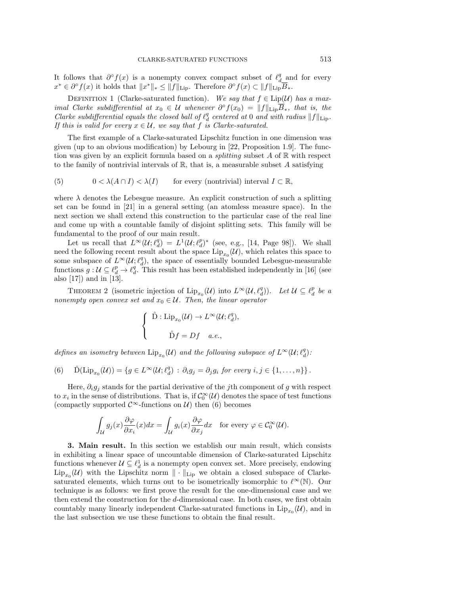It follows that  $\partial^{\circ} f(x)$  is a nonempty convex compact subset of  $\ell_{d_{\text{min}}}^q$  and for every  $x^* \in \partial^{\circ} f(x)$  it holds that  $||x^*||_* \le ||f||_{\text{Lip}}$ . Therefore  $\partial^{\circ} f(x) \subset ||f||_{\text{Lip}}\overline{B}_*.$ 

<span id="page-2-0"></span>DEFINITION 1 (Clarke-saturated function). We say that  $f \in Lip(\mathcal{U})$  has a maximal Clarke subdifferential at  $x_0 \in \mathcal{U}$  whenever  $\partial^{\circ} f(x_0) = ||f||_{\text{Lip}}\overline{B}_*,$  that is, the Clarke subdifferential equals the closed ball of  $\ell_d^q$  centered at 0 and with radius  $||f||_{\text{Lip}}$ . If this is valid for every  $x \in \mathcal{U}$ , we say that f is Clarke-saturated.

The first example of a Clarke-saturated Lipschitz function in one dimension was given (up to an obvious modification) by Lebourg in [\[22,](#page-10-8) Proposition 1.9]. The function was given by an explicit formula based on a *splitting* subset  $A$  of  $\mathbb R$  with respect to the family of nontrivial intervals of  $\mathbb{R}$ , that is, a measurable subset A satisfying

<span id="page-2-2"></span>(5) 
$$
0 < \lambda(A \cap I) < \lambda(I)
$$
 for every (nontrivial) interval  $I \subset \mathbb{R}$ ,

where  $\lambda$  denotes the Lebesgue measure. An explicit construction of such a splitting set can be found in [\[21\]](#page-10-9) in a general setting (an atomless measure space). In the next section we shall extend this construction to the particular case of the real line and come up with a countable family of disjoint splitting sets. This family will be fundamental to the proof of our main result.

Let us recall that  $L^{\infty}(\mathcal{U}; \ell_d^q) = L^1(\mathcal{U}; \ell_d^p)^*$  (see, e.g., [\[14,](#page-10-10) Page 98]). We shall need the following recent result about the space  $\mathrm{Lip}_{x_0}(\mathcal{U})$ , which relates this space to some subspace of  $L^{\infty}(\mathcal{U}; \ell_d^q)$ , the space of essentially bounded Lebesgue-measurable functions  $g: \mathcal{U} \subseteq \ell_d^p \to \ell_d^q$ . This result has been established independently in [\[16\]](#page-10-11) (see also [\[17\]](#page-10-12)) and in [\[13\]](#page-10-13).

<span id="page-2-3"></span>THEOREM 2 (isometric injection of  $\text{Lip}_{x_0}(\mathcal{U})$  into  $L^{\infty}(\mathcal{U}, \ell_d^q)$ ). Let  $\mathcal{U} \subseteq \ell_d^p$  be a nonempty open convex set and  $x_0 \in \mathcal{U}$ . Then, the linear operator

$$
\begin{cases}\n\hat{\mathbf{D}} : \text{Lip}_{x_0}(\mathcal{U}) \to L^{\infty}(\mathcal{U}; \ell_d^q), \\
\hat{\mathbf{D}}f = Df \quad a.e., \n\end{cases}
$$

defines an isometry between  $\text{Lip}_{x_0}(\mathcal{U})$  and the following subspace of  $L^{\infty}(\mathcal{U}; \ell_d^q)$ :

<span id="page-2-1"></span>(6) 
$$
\hat{\mathrm{D}}(\mathrm{Lip}_{x_0}(\mathcal{U})) = \{ g \in L^{\infty}(\mathcal{U}; \ell_d^q) : \partial_i g_j = \partial_j g_i \text{ for every } i, j \in \{1, ..., n\} \}.
$$

Here,  $\partial_i g_j$  stands for the partial derivative of the jth component of g with respect to  $x_i$  in the sense of distributions. That is, if  $C_0^{\infty}(\mathcal{U})$  denotes the space of test functions (compactly supported  $\mathcal{C}^{\infty}$ -functions on  $\mathcal{U}$ ) then [\(6\)](#page-2-1) becomes

$$
\int_{\mathcal{U}} g_j(x) \frac{\partial \varphi}{\partial x_i}(x) dx = \int_{\mathcal{U}} g_i(x) \frac{\partial \varphi}{\partial x_j} dx \quad \text{for every } \varphi \in \mathcal{C}_0^{\infty}(\mathcal{U}).
$$

3. Main result. In this section we establish our main result, which consists in exhibiting a linear space of uncountable dimension of Clarke-saturated Lipschitz functions whenever  $\mathcal{U} \subseteq \ell_d^1$  is a nonempty open convex set. More precisely, endowing  $\text{Lip}_{x_0}(\mathcal{U})$  with the Lipschitz norm  $\|\cdot\|_{\text{Lip}}$  we obtain a closed subspace of Clarkesaturated elements, which turns out to be isometrically isomorphic to  $\ell^{\infty}(\mathbb{N})$ . Our technique is as follows: we first prove the result for the one-dimensional case and we then extend the construction for the d-dimensional case. In both cases, we first obtain countably many linearly independent Clarke-saturated functions in  $\text{Lip}_{x_0}(\mathcal{U})$ , and in the last subsection we use these functions to obtain the final result.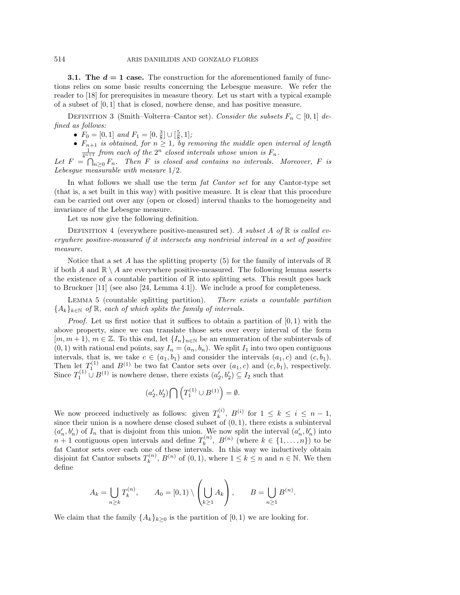**3.1. The**  $d = 1$  **case.** The construction for the aforementioned family of functions relies on some basic results concerning the Lebesgue measure. We refer the reader to [\[18\]](#page-10-14) for prerequisites in measure theory. Let us start with a typical example of a subset of  $[0, 1]$  that is closed, nowhere dense, and has positive measure.

DEFINITION 3 (Smith–Volterra–Cantor set). Consider the subsets  $F_n \subset [0,1]$  defined as follows:

•  $F_0 = [0, 1]$  and  $F_1 = [0, \frac{3}{8}] \cup [\frac{5}{8}, 1]$ ;

•  $F_{n+1}$  is obtained, for  $n \geq 1$ , by removing the middle open interval of length  $\frac{1}{4^{n+1}}$  from each of the  $2^n$  closed intervals whose union is  $F_n$ .

Let  $F = \bigcap_{n>0} F_n$ . Then F is closed and contains no intervals. Moreover, F is Lebesque measurable with measure  $1/2$ .

In what follows we shall use the term *fat Cantor set* for any Cantor-type set (that is, a set built in this way) with positive measure. It is clear that this procedure can be carried out over any (open or closed) interval thanks to the homogeneity and invariance of the Lebesgue measure.

Let us now give the following definition.

DEFINITION 4 (everywhere positive-measured set). A subset A of  $\mathbb R$  is called everywhere positive-measured if it intersects any nontrivial interval in a set of positive measure.

Notice that a set A has the splitting property [\(5\)](#page-2-2) for the family of intervals of  $\mathbb R$ if both A and  $\mathbb{R} \setminus A$  are everywhere positive-measured. The following lemma asserts the existence of a countable partition of  $\mathbb R$  into splitting sets. This result goes back to Bruckner [\[11\]](#page-10-15) (see also [\[24,](#page-10-16) Lemma 4.1]). We include a proof for completeness.

<span id="page-3-0"></span>Lemma 5 (countable splitting partition). There exists a countable partition  ${A_k}_{k\in\mathbb{N}}$  of  $\mathbb{R}$ , each of which splits the family of intervals.

*Proof.* Let us first notice that it suffices to obtain a partition of  $[0, 1)$  with the above property, since we can translate those sets over every interval of the form  $[m, m + 1], m \in \mathbb{Z}$ . To this end, let  $\{I_n\}_{n \in \mathbb{N}}$  be an enumeration of the subintervals of  $(0, 1)$  with rational end points, say  $I_n = (a_n, b_n)$ . We split  $I_1$  into two open contiguous intervals, that is, we take  $c \in (a_1, b_1)$  and consider the intervals  $(a_1, c)$  and  $(c, b_1)$ . Then let  $T_1^{(1)}$  and  $B^{(1)}$  be two fat Cantor sets over  $(a_1, c)$  and  $(c, b_1)$ , respectively. Since  $T_1^{(1)} \cup B^{(1)}$  is nowhere dense, there exists  $(a'_2, b'_2) \subseteq I_2$  such that

$$
(a'_2, b'_2) \bigcap \left( T_1^{(1)} \cup B^{(1)} \right) = \emptyset.
$$

We now proceed inductively as follows: given  $T_k^{(i)}$  $k^{(i)}$ ,  $B^{(i)}$  for  $1 \leq k \leq i \leq n-1$ , since their union is a nowhere dense closed subset of  $(0, 1)$ , there exists a subinterval  $(a'_n, b'_n)$  of  $I_n$  that is disjoint from this union. We now split the interval  $(a'_n, b'_n)$  into  $n+1$  contiguous open intervals and define  $T_k^{(n)}$  $k^{(n)}$ ,  $B^{(n)}$  (where  $k \in \{1, ..., n\}$ ) to be fat Cantor sets over each one of these intervals. In this way we inductively obtain disjoint fat Cantor subsets  $T_k^{(n)}$  $k_k^{(n)}$ ,  $B^{(n)}$  of  $(0,1)$ , where  $1 \leq k \leq n$  and  $n \in \mathbb{N}$ . We then define

$$
A_k = \bigcup_{n \geq k} T_k^{(n)}, \qquad A_0 = [0,1) \setminus \left(\bigcup_{k \geq 1} A_k\right), \qquad B = \bigcup_{n \geq 1} B^{(n)}.
$$

We claim that the family  $\{A_k\}_{k>0}$  is the partition of  $[0,1)$  we are looking for.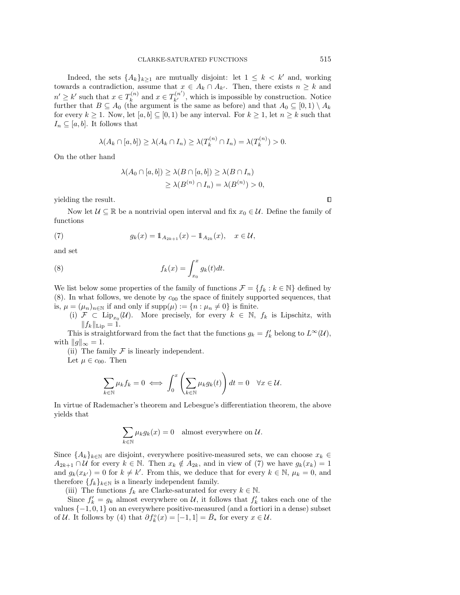Indeed, the sets  $\{A_k\}_{k\geq 1}$  are mutually disjoint: let  $1 \leq k \leq k'$  and, working towards a contradiction, assume that  $x \in A_k \cap A_{k'}$ . Then, there exists  $n \geq k$  and  $n' \geq k'$  such that  $x \in T_k^{(n)}$  $x_k^{(n)}$  and  $x \in T_{k'}^{(n')}$ , which is impossible by construction. Notice further that  $B \subseteq A_0$  (the argument is the same as before) and that  $A_0 \subseteq [0,1) \setminus A_k$ for every  $k \geq 1$ . Now, let  $[a, b] \subseteq [0, 1)$  be any interval. For  $k \geq 1$ , let  $n \geq k$  such that  $I_n \subseteq [a, b]$ . It follows that

$$
\lambda(A_k \cap [a, b]) \ge \lambda(A_k \cap I_n) \ge \lambda(T_k^{(n)} \cap I_n) = \lambda(T_k^{(n)}) > 0.
$$

On the other hand

<span id="page-4-1"></span><span id="page-4-0"></span>
$$
\lambda(A_0 \cap [a, b]) \ge \lambda(B \cap [a, b]) \ge \lambda(B \cap I_n)
$$
  
 
$$
\ge \lambda(B^{(n)} \cap I_n) = \lambda(B^{(n)}) > 0,
$$

yielding the result.

Now let  $\mathcal{U} \subseteq \mathbb{R}$  be a nontrivial open interval and fix  $x_0 \in \mathcal{U}$ . Define the family of functions

(7) 
$$
g_k(x) = \mathbb{1}_{A_{2k+1}}(x) - \mathbb{1}_{A_{2k}}(x), \quad x \in \mathcal{U},
$$

and set

(8) 
$$
f_k(x) = \int_{x_0}^x g_k(t)dt.
$$

We list below some properties of the family of functions  $\mathcal{F} = \{f_k : k \in \mathbb{N}\}\$  defined by  $(8)$ . In what follows, we denote by  $c_{00}$  the space of finitely supported sequences, that is,  $\mu = (\mu_n)_{n \in \mathbb{N}}$  if and only if  $\text{supp}(\mu) := \{n : \mu_n \neq 0\}$  is finite.

(i)  $\mathcal{F} \subset \text{Lip}_{x_0}(\mathcal{U})$ . More precisely, for every  $k \in \mathbb{N}$ ,  $f_k$  is Lipschitz, with  $||f_k||_{\text{Lip}} = 1.$ 

This is straightforward from the fact that the functions  $g_k = f'_k$  belong to  $L^{\infty}(\mathcal{U}),$ with  $||g||_{\infty} = 1$ .

(ii) The family  $\mathcal F$  is linearly independent.

Let  $\mu \in c_{00}$ . Then

$$
\sum_{k \in \mathbb{N}} \mu_k f_k = 0 \iff \int_0^x \left( \sum_{k \in \mathbb{N}} \mu_k g_k(t) \right) dt = 0 \quad \forall x \in \mathcal{U}.
$$

In virtue of Rademacher's theorem and Lebesgue's differentiation theorem, the above yields that

$$
\sum_{k \in \mathbb{N}} \mu_k g_k(x) = 0
$$
 almost everywhere on U.

Since  $\{A_k\}_{k\in\mathbb{N}}$  are disjoint, everywhere positive-measured sets, we can choose  $x_k \in$  $A_{2k+1} \cap U$  for every  $k \in \mathbb{N}$ . Then  $x_k \notin A_{2k}$ , and in view of [\(7\)](#page-4-1) we have  $g_k(x_k) = 1$ and  $g_k(x_{k'}) = 0$  for  $k \neq k'$ . From this, we deduce that for every  $k \in \mathbb{N}$ ,  $\mu_k = 0$ , and therefore  $\{f_k\}_{k\in\mathbb{N}}$  is a linearly independent family.

(iii) The functions  $f_k$  are Clarke-saturated for every  $k \in \mathbb{N}$ .

Since  $f'_k = g_k$  almost everywhere on U, it follows that  $f'_k$  takes each one of the values  $\{-1, 0, 1\}$  on an everywhere positive-measured (and a fortiori in a dense) subset of U. It follows by [\(4\)](#page-1-1) that  $\partial f_k^{\circ}(x) = [-1,1] = \bar{B}_*$  for every  $x \in U$ .

 $\Box$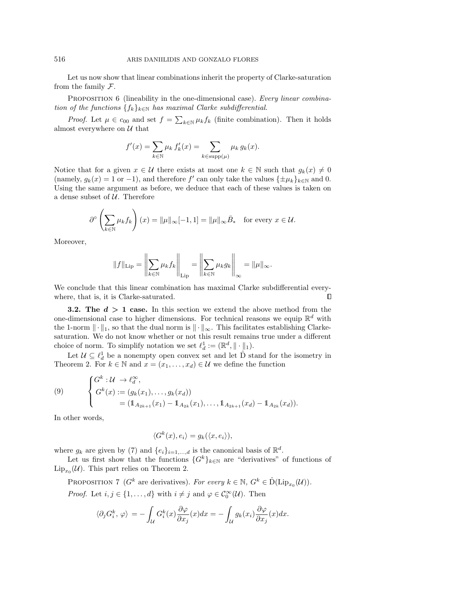Let us now show that linear combinations inherit the property of Clarke-saturation from the family  $\mathcal{F}.$ 

PROPOSITION 6 (lineability in the one-dimensional case). Every linear combination of the functions  $\{f_k\}_{k\in\mathbb{N}}$  has maximal Clarke subdifferential.

*Proof.* Let  $\mu \in c_{00}$  and set  $f = \sum_{k \in \mathbb{N}} \mu_k f_k$  (finite combination). Then it holds almost everywhere on  $U$  that

$$
f'(x) = \sum_{k \in \mathbb{N}} \mu_k f'_k(x) = \sum_{k \in \text{supp}(\mu)} \mu_k g_k(x).
$$

Notice that for a given  $x \in \mathcal{U}$  there exists at most one  $k \in \mathbb{N}$  such that  $g_k(x) \neq 0$ (namely,  $g_k(x) = 1$  or  $-1$ ), and therefore f' can only take the values  $\{\pm \mu_k\}_{k \in \mathbb{N}}$  and 0. Using the same argument as before, we deduce that each of these values is taken on a dense subset of  $U$ . Therefore

$$
\partial^{\circ} \left( \sum_{k \in \mathbb{N}} \mu_k f_k \right) (x) = \|\mu\|_{\infty} [-1, 1] = \|\mu\|_{\infty} \bar{B}_{*} \text{ for every } x \in \mathcal{U}.
$$

Moreover,

$$
||f||_{\text{Lip}} = \left\| \sum_{k \in \mathbb{N}} \mu_k f_k \right\|_{\text{Lip}} = \left\| \sum_{k \in \mathbb{N}} \mu_k g_k \right\|_{\infty} = ||\mu||_{\infty}.
$$

We conclude that this linear combination has maximal Clarke subdifferential every- $\Box$ where, that is, it is Clarke-saturated.

**3.2.** The  $d > 1$  case. In this section we extend the above method from the one-dimensional case to higher dimensions. For technical reasons we equip  $\mathbb{R}^d$  with the 1-norm  $\|\cdot\|_1$ , so that the dual norm is  $\|\cdot\|_{\infty}$ . This facilitates establishing Clarkesaturation. We do not know whether or not this result remains true under a different choice of norm. To simplify notation we set  $\ell_d^1 := (\mathbb{R}^d, \|\cdot\|_1)$ .

Let  $\mathcal{U} \subseteq \ell_d^1$  be a nonempty open convex set and let  $\hat{D}$  stand for the isometry in Theorem [2.](#page-2-3) For  $k \in \mathbb{N}$  and  $x = (x_1, \ldots, x_d) \in \mathcal{U}$  we define the function

(9) 
$$
\begin{cases} G^k : \mathcal{U} \to \ell_d^{\infty}, \\ G^k(x) := (g_k(x_1), \dots, g_k(x_d)) \\ = (\mathbb{1}_{A_{2k+1}}(x_1) - \mathbb{1}_{A_{2k}}(x_1), \dots, \mathbb{1}_{A_{2k+1}}(x_d) - \mathbb{1}_{A_{2k}}(x_d)). \end{cases}
$$

In other words,

$$
\langle G^k(x), e_i \rangle = g_k(\langle x, e_i \rangle),
$$

where  $g_k$  are given by [\(7\)](#page-4-1) and  $\{e_i\}_{i=1,\dots,d}$  is the canonical basis of  $\mathbb{R}^d$ .

Let us first show that the functions  $\{G^k\}_{k\in\mathbb{N}}$  are "derivatives" of functions of  $\text{Lip}_{x_0}(\mathcal{U})$ . This part relies on Theorem [2.](#page-2-3)

PROPOSITION 7 ( $G^k$  are derivatives). For every  $k \in \mathbb{N}$ ,  $G^k \in \hat{\mathcal{D}}(\mathrm{Lip}_{x_0}(\mathcal{U}))$ .

*Proof.* Let  $i, j \in \{1, ..., d\}$  with  $i \neq j$  and  $\varphi \in C_0^{\infty}(\mathcal{U})$ . Then

$$
\langle \partial_j G_i^k, \varphi \rangle = -\int_{\mathcal{U}} G_i^k(x) \frac{\partial \varphi}{\partial x_j}(x) dx = -\int_{\mathcal{U}} g_k(x_i) \frac{\partial \varphi}{\partial x_j}(x) dx.
$$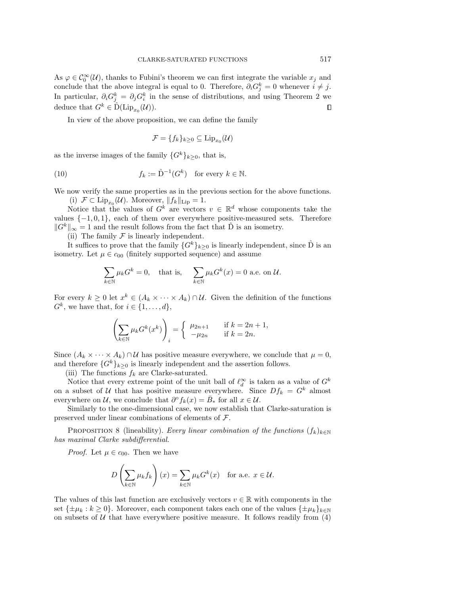As  $\varphi \in \mathcal{C}_0^{\infty}(\mathcal{U})$ , thanks to Fubini's theorem we can first integrate the variable  $x_j$  and conclude that the above integral is equal to 0. Therefore,  $\partial_i G_j^k = 0$  whenever  $i \neq j$ . In particular,  $\partial_i G_j^k = \partial_j G_i^k$  in the sense of distributions, and using Theorem [2](#page-2-3) we deduce that  $G^k \in \hat{\mathrm{D}}(\mathrm{Lip}_{x_0}(\mathcal{U}))$ .  $\Box$ 

In view of the above proposition, we can define the family

<span id="page-6-0"></span>
$$
\mathcal{F} = \{f_k\}_{k\geq 0} \subseteq \mathrm{Lip}_{x_0}(\mathcal{U})
$$

as the inverse images of the family  $\{G^k\}_{k>0}$ , that is,

(10) 
$$
f_k := \hat{\mathbf{D}}^{-1}(G^k) \text{ for every } k \in \mathbb{N}.
$$

We now verify the same properties as in the previous section for the above functions.

(i)  $\mathcal{F} \subset \text{Lip}_{x_0}(\mathcal{U})$ . Moreover,  $||f_k||_{\text{Lip}} = 1$ .

Notice that the values of  $G^k$  are vectors  $v \in \mathbb{R}^d$  whose components take the values  $\{-1, 0, 1\}$ , each of them over everywhere positive-measured sets. Therefore  $||G^k||_{\infty} = 1$  and the result follows from the fact that  $\hat{D}$  is an isometry.

(ii) The family  $\mathcal F$  is linearly independent.

It suffices to prove that the family  $\{G^k\}_{k>0}$  is linearly independent, since  $\hat{D}$  is an isometry. Let  $\mu \in c_{00}$  (finitely supported sequence) and assume

$$
\sum_{k \in \mathbb{N}} \mu_k G^k = 0, \text{ that is, } \sum_{k \in \mathbb{N}} \mu_k G^k(x) = 0 \text{ a.e. on } \mathcal{U}.
$$

For every  $k \geq 0$  let  $x^k \in (A_k \times \cdots \times A_k) \cap U$ . Given the definition of the functions  $G^k$ , we have that, for  $i \in \{1, \ldots, d\}$ ,

$$
\left(\sum_{k\in\mathbb{N}}\mu_k G^k(x^k)\right)_i = \begin{cases} \mu_{2n+1} & \text{if } k = 2n+1, \\ -\mu_{2n} & \text{if } k = 2n. \end{cases}
$$

Since  $(A_k \times \cdots \times A_k) \cap U$  has positive measure everywhere, we conclude that  $\mu = 0$ , and therefore  $\{G^k\}_{k\geq 0}$  is linearly independent and the assertion follows.

(iii) The functions  $f_k$  are Clarke-saturated.

Notice that every extreme point of the unit ball of  $\ell_d^{\infty}$  is taken as a value of  $G^k$ on a subset of U that has positive measure everywhere. Since  $Df_k = G^k$  almost everywhere on U, we conclude that  $\partial^{\circ} f_k(x) = \overline{B}_*$  for all  $x \in \mathcal{U}$ .

Similarly to the one-dimensional case, we now establish that Clarke-saturation is preserved under linear combinations of elements of F.

PROPOSITION 8 (lineability). Every linear combination of the functions  $(f_k)_{k\in\mathbb{N}}$ has maximal Clarke subdifferential.

*Proof.* Let  $\mu \in c_{00}$ . Then we have

$$
D\left(\sum_{k\in\mathbb{N}}\mu_kf_k\right)(x)=\sum_{k\in\mathbb{N}}\mu_kG^k(x) \text{ for a.e. } x\in\mathcal{U}.
$$

The values of this last function are exclusively vectors  $v \in \mathbb{R}$  with components in the set  $\{\pm\mu_k : k \geq 0\}$ . Moreover, each component takes each one of the values  $\{\pm\mu_k\}_{k\in\mathbb{N}}$ on subsets of  $U$  that have everywhere positive measure. It follows readily from [\(4\)](#page-1-1)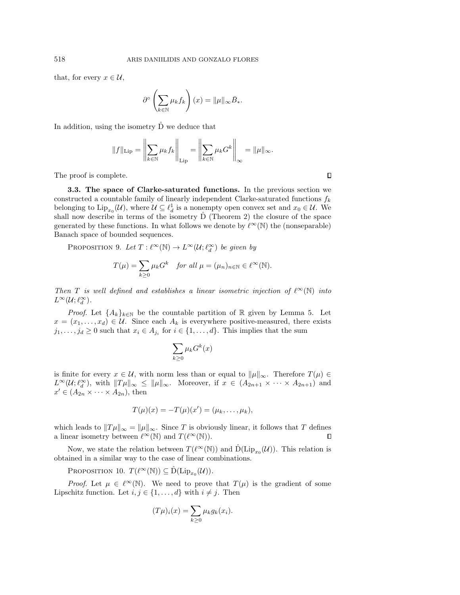that, for every  $x \in \mathcal{U}$ ,

$$
\partial^{\circ} \left( \sum_{k \in \mathbb{N}} \mu_k f_k \right) (x) = \|\mu\|_{\infty} \bar{B}_{*}.
$$

In addition, using the isometry  $\hat{D}$  we deduce that

$$
||f||_{\text{Lip}} = \left\| \sum_{k \in \mathbb{N}} \mu_k f_k \right\|_{\text{Lip}} = \left\| \sum_{k \in \mathbb{N}} \mu_k G^k \right\|_{\infty} = ||\mu||_{\infty}.
$$

The proof is complete.

3.3. The space of Clarke-saturated functions. In the previous section we constructed a countable family of linearly independent Clarke-saturated functions  $f_k$ belonging to  $\text{Lip}_{x_0}(\mathcal{U})$ , where  $\mathcal{U} \subseteq \ell_d^1$  is a nonempty open convex set and  $x_0 \in \mathcal{U}$ . We shall now describe in terms of the isometry  $\hat{D}$  (Theorem [2\)](#page-2-3) the closure of the space generated by these functions. In what follows we denote by  $\ell^{\infty}(\mathbb{N})$  the (nonseparable) Banach space of bounded sequences.

<span id="page-7-0"></span>PROPOSITION 9. Let  $T : \ell^{\infty}(\mathbb{N}) \to L^{\infty}(\mathcal{U}; \ell_d^{\infty})$  be given by

$$
T(\mu) = \sum_{k \ge 0} \mu_k G^k \quad \text{for all } \mu = (\mu_n)_{n \in \mathbb{N}} \in \ell^{\infty}(\mathbb{N}).
$$

Then T is well defined and establishes a linear isometric injection of  $\ell^{\infty}(\mathbb{N})$  into  $L^{\infty}(\mathcal{U}; \ell_d^{\infty}).$ 

*Proof.* Let  $\{A_k\}_{k\in\mathbb{N}}$  be the countable partition of R given by Lemma [5.](#page-3-0) Let  $x = (x_1, \ldots, x_d) \in \mathcal{U}$ . Since each  $A_k$  is everywhere positive-measured, there exists  $j_1, \ldots, j_d \geq 0$  such that  $x_i \in A_{j_i}$  for  $i \in \{1, \ldots, d\}$ . This implies that the sum

$$
\sum_{k\geq 0} \mu_k G^k(x)
$$

is finite for every  $x \in \mathcal{U}$ , with norm less than or equal to  $\|\mu\|_{\infty}$ . Therefore  $T(\mu) \in$  $L^{\infty}(\mathcal{U}; \ell_d^{\infty})$ , with  $||T\mu||_{\infty} \leq ||\mu||_{\infty}$ . Moreover, if  $x \in (A_{2n+1} \times \cdots \times A_{2n+1})$  and  $x' \in (A_{2n} \times \cdots \times A_{2n}),$  then

$$
T(\mu)(x) = -T(\mu)(x') = (\mu_k, \dots, \mu_k),
$$

which leads to  $||T\mu||_{\infty} = ||\mu||_{\infty}$ . Since T is obviously linear, it follows that T defines a linear isometry between  $\ell^{\infty}(\mathbb{N})$  and  $T(\ell^{\infty}(\mathbb{N}))$ .  $\Box$ 

Now, we state the relation between  $T(\ell^{\infty}(\mathbb{N}))$  and  $\hat{D}(\text{Lip}_{x_0}(\mathcal{U}))$ . This relation is obtained in a similar way to the case of linear combinations.

<span id="page-7-1"></span>PROPOSITION 10.  $T(\ell^{\infty}(\mathbb{N})) \subseteq \hat{D}(\text{Lip}_{x_0}(\mathcal{U}))$ .

*Proof.* Let  $\mu \in \ell^{\infty}(\mathbb{N})$ . We need to prove that  $T(\mu)$  is the gradient of some Lipschitz function. Let  $i, j \in \{1, ..., d\}$  with  $i \neq j$ . Then

$$
(T\mu)_i(x) = \sum_{k \ge 0} \mu_k g_k(x_i).
$$

 $\Box$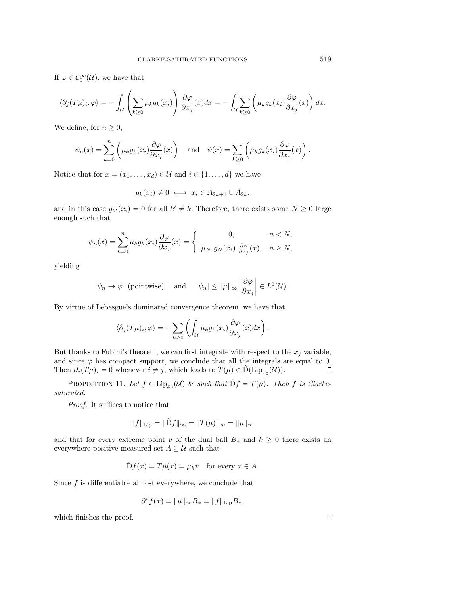If  $\varphi \in \mathcal{C}_0^{\infty}(\mathcal{U})$ , we have that

$$
\langle \partial_j(T\mu)_i, \varphi \rangle = -\int_{\mathcal{U}} \left( \sum_{k \geq 0} \mu_k g_k(x_i) \right) \frac{\partial \varphi}{\partial x_j}(x) dx = -\int_{\mathcal{U}} \sum_{k \geq 0} \left( \mu_k g_k(x_i) \frac{\partial \varphi}{\partial x_j}(x) \right) dx.
$$

We define, for  $n \geq 0$ ,

$$
\psi_n(x) = \sum_{k=0}^n \left( \mu_k g_k(x_i) \frac{\partial \varphi}{\partial x_j}(x) \right) \quad \text{and} \quad \psi(x) = \sum_{k \ge 0} \left( \mu_k g_k(x_i) \frac{\partial \varphi}{\partial x_j}(x) \right).
$$

Notice that for  $x = (x_1, \ldots, x_d) \in \mathcal{U}$  and  $i \in \{1, \ldots, d\}$  we have

$$
g_k(x_i) \neq 0 \iff x_i \in A_{2k+1} \cup A_{2k},
$$

and in this case  $g_{k'}(x_i) = 0$  for all  $k' \neq k$ . Therefore, there exists some  $N \geq 0$  large enough such that

$$
\psi_n(x) = \sum_{k=0}^n \mu_k g_k(x_i) \frac{\partial \varphi}{\partial x_j}(x) = \begin{cases} 0, & n < N, \\ \mu_N g_N(x_i) \frac{\partial \varphi}{\partial x_j}(x), & n \ge N, \end{cases}
$$

yielding

$$
\psi_n \to \psi
$$
 (pointwise) and  $|\psi_n| \le ||\mu||_{\infty} \left| \frac{\partial \varphi}{\partial x_j} \right| \in L^1(\mathcal{U}).$ 

By virtue of Lebesgue's dominated convergence theorem, we have that

$$
\langle \partial_j(T\mu)_i, \varphi \rangle = - \sum_{k \geq 0} \left( \int_{\mathcal{U}} \mu_k g_k(x_i) \frac{\partial \varphi}{\partial x_j}(x) dx \right).
$$

But thanks to Fubini's theorem, we can first integrate with respect to the  $x_j$  variable, and since  $\varphi$  has compact support, we conclude that all the integrals are equal to 0. Then  $\partial_j(T\mu)_i = 0$  whenever  $i \neq j$ , which leads to  $T(\mu) \in \hat{D}(\mathrm{Lip}_{x_0}(\mathcal{U}))$ .  $\Box$ 

PROPOSITION 11. Let  $f \in \text{Lip}_{x_0}(\mathcal{U})$  be such that  $\hat{\text{D}}f = T(\mu)$ . Then f is Clarkesaturated.

Proof. It suffices to notice that

$$
||f||_{\text{Lip}} = ||\hat{D}f||_{\infty} = ||T(\mu)||_{\infty} = ||\mu||_{\infty}
$$

and that for every extreme point v of the dual ball  $\overline{B}_*$  and  $k \geq 0$  there exists an everywhere positive-measured set  $A \subseteq U$  such that

 $\hat{\mathrm{D}}f(x) = T\mu(x) = \mu_k v$  for every  $x \in A$ .

Since  $f$  is differentiable almost everywhere, we conclude that

$$
\partial^{\circ} f(x) = \|\mu\|_{\infty} \overline{B}_{*} = \|f\|_{\text{Lip}} \overline{B}_{*},
$$

which finishes the proof.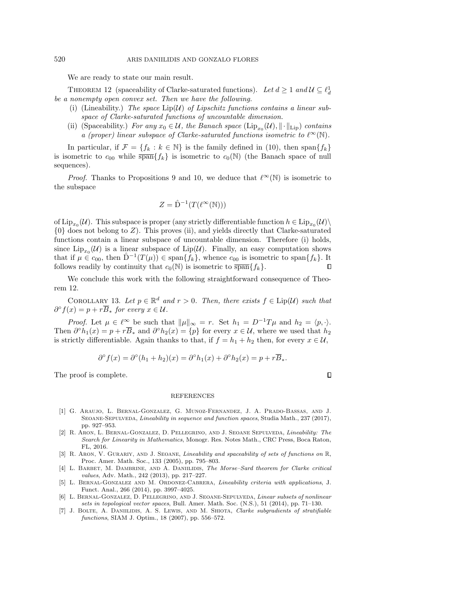We are ready to state our main result.

<span id="page-9-2"></span>THEOREM 12 (spaceability of Clarke-saturated functions). Let  $d \geq 1$  and  $\mathcal{U} \subseteq \ell_d^1$ be a nonempty open convex set. Then we have the following.

- (i) (Lineability.) The space  $\text{Lip}(\mathcal{U})$  of Lipschitz functions contains a linear subspace of Clarke-saturated functions of uncountable dimension.
- (ii) (Spaceability.) For any  $x_0 \in \mathcal{U}$ , the Banach space  $(\text{Lip}_{x_0}(\mathcal{U}), \|\cdot\|_{\text{Lip}})$  contains a (proper) linear subspace of Clarke-saturated functions isometric to  $\ell^{\infty}(\mathbb{N})$ .

In particular, if  $\mathcal{F} = \{f_k : k \in \mathbb{N}\}\$ is the family defined in [\(10\)](#page-6-0), then span $\{f_k\}$ is isometric to  $c_{00}$  while  $\overline{\text{span}}\{f_k\}$  is isometric to  $c_0(N)$  (the Banach space of null sequences).

*Proof.* Thanks to Propositions [9](#page-7-0) and [10,](#page-7-1) we deduce that  $\ell^{\infty}(\mathbb{N})$  is isometric to the subspace

$$
Z = \hat{\mathbf{D}}^{-1}(T(\ell^{\infty}(\mathbb{N})))
$$

of  $\mathrm{Lip}_{x_0}(\mathcal{U})$ . This subspace is proper (any strictly differentiable function  $h \in \mathrm{Lip}_{x_0}(\mathcal{U})\setminus\mathcal{U}$  $\{0\}$  does not belong to Z). This proves (ii), and yields directly that Clarke-saturated functions contain a linear subspace of uncountable dimension. Therefore (i) holds, since  $\text{Lip}_{x_0}(\mathcal{U})$  is a linear subspace of  $\text{Lip}(\mathcal{U})$ . Finally, an easy computation shows that if  $\mu \in c_{00}$ , then  $\hat{D}^{-1}(T(\mu)) \in \text{span}\{f_k\}$ , whence  $c_{00}$  is isometric to span $\{f_k\}$ . It follows readily by continuity that  $c_0(\mathbb{N})$  is isometric to  $\overline{\text{span}}\{f_k\}.$ Л

We conclude this work with the following straightforward consequence of Theorem [12.](#page-9-2)

COROLLARY 13. Let  $p \in \mathbb{R}^d$  and  $r > 0$ . Then, there exists  $f \in \text{Lip}(\mathcal{U})$  such that  $\partial^{\circ} f(x) = p + r \overline{B}_{*}$  for every  $x \in \mathcal{U}$ .

*Proof.* Let  $\mu \in \ell^{\infty}$  be such that  $\|\mu\|_{\infty} = r$ . Set  $h_1 = D^{-1}T\mu$  and  $h_2 = \langle p, \cdot \rangle$ . Then  $\partial^{\circ}h_1(x) = p + r\overline{B}_*$  and  $\partial^{\circ}h_2(x) = \{p\}$  for every  $x \in \mathcal{U}$ , where we used that  $h_2$ is strictly differentiable. Again thanks to that, if  $f = h_1 + h_2$  then, for every  $x \in \mathcal{U}$ ,

$$
\partial^{\circ} f(x) = \partial^{\circ} (h_1 + h_2)(x) = \partial^{\circ} h_1(x) + \partial^{\circ} h_2(x) = p + r \overline{B}_*.
$$

 $\Box$ 

The proof is complete.

## REFERENCES

- <span id="page-9-5"></span>[1] G. Araujo, L. Bernal-Gonzalez, G. Munoz-Fernandez, J. A. Prado-Bassas, and J. SEOANE-SEPULVEDA, Lineability in sequence and function spaces, Studia Math., 237 (2017), pp. 927–953.
- <span id="page-9-3"></span>[2] R. Aron, L. Bernal-Gonzalez, D. Pellegrino, and J. Seoane Sepulveda, Lineability: The Search for Linearity in Mathematics, Monogr. Res. Notes Math., CRC Press, Boca Raton, FL, 2016.
- <span id="page-9-4"></span>[3] R. ARON, V. GURARIY, AND J. SEOANE, *Lineability and spaceability of sets of functions on* R, Proc. Amer. Math. Soc., 133 (2005), pp. 795–803.
- <span id="page-9-1"></span>[4] L. BARBET, M. DAMBRINE, AND A. DANIILIDIS, The Morse–Sard theorem for Clarke critical values, Adv. Math., 242 (2013), pp. 217–227.
- [5] L. Bernal-Gonzalez and M. Ordonez-Cabrera, Lineability criteria with applications, J. Funct. Anal., 266 (2014), pp. 3997–4025.
- <span id="page-9-6"></span>[6] L. Bernal-Gonzalez, D. Pellegrino, and J. Seoane-Sepulveda, Linear subsets of nonlinear sets in topological vector spaces, Bull. Amer. Math. Soc. (N.S.), 51 (2014), pp. 71–130.
- <span id="page-9-0"></span>[7] J. BOLTE, A. DANIILIDIS, A. S. LEWIS, AND M. SHIOTA, Clarke subgradients of stratifiable functions, SIAM J. Optim., 18 (2007), pp. 556–572.